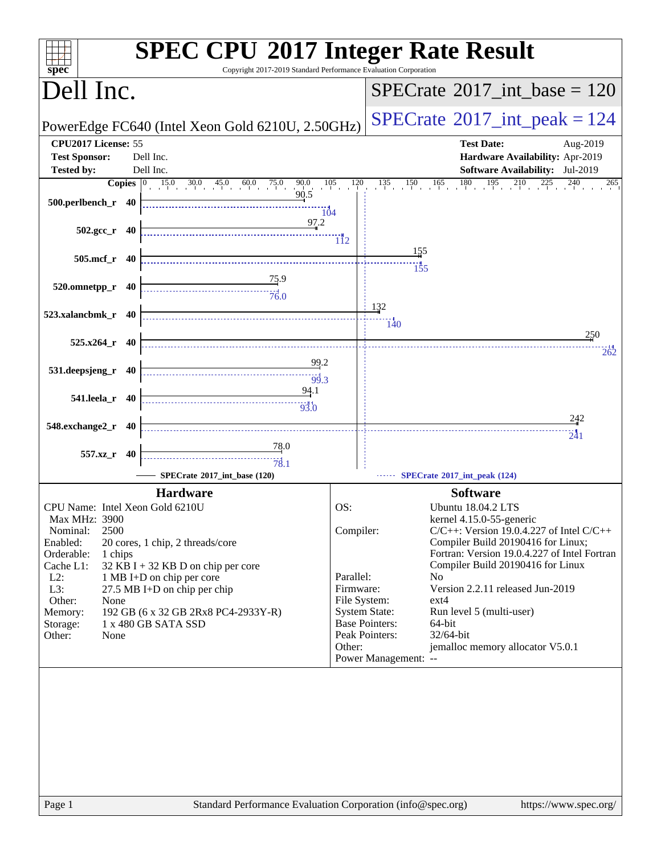| Copyright 2017-2019 Standard Performance Evaluation Corporation<br>spec <sup>®</sup>                                           | <b>SPEC CPU®2017 Integer Rate Result</b>                                               |
|--------------------------------------------------------------------------------------------------------------------------------|----------------------------------------------------------------------------------------|
| Dell Inc.                                                                                                                      | $SPECrate^{\circ}2017\_int\_base = 120$                                                |
| PowerEdge FC640 (Intel Xeon Gold 6210U, 2.50GHz)                                                                               | $SPECrate@2017(int _peak = 124$                                                        |
| CPU2017 License: 55                                                                                                            | <b>Test Date:</b><br>Aug-2019                                                          |
| <b>Test Sponsor:</b><br>Dell Inc.<br><b>Tested by:</b><br>Dell Inc.                                                            | Hardware Availability: Apr-2019<br><b>Software Availability:</b> Jul-2019              |
| <b>Copies</b> $\begin{bmatrix} 0 & 15.0 & 30.0 & 45.0 & 60.0 & 75.0 & 90.0 & 105 \\ 0 & 0 & 0 & 0 & 90.5 & 90.5 \end{bmatrix}$ | $120$ $135$ $150$ $165$ $180$ $195$ $210$ $225$ $240$<br>265                           |
| 500.perlbench_r 40<br>104                                                                                                      |                                                                                        |
| 97.2<br>$502.\text{gcc}_r$ 40                                                                                                  | $\overline{11}2$                                                                       |
| 505.mcf_r 40                                                                                                                   | 155                                                                                    |
|                                                                                                                                | 155                                                                                    |
| $\begin{array}{c}\n 75.9 \\  \overline{76.0}\n \end{array}$<br>$520.0$ mnetpp_r $40$                                           |                                                                                        |
|                                                                                                                                | 132                                                                                    |
| 523.xalancbmk_r 40                                                                                                             | $\frac{11}{140}$                                                                       |
| $525.x264$ r 40                                                                                                                | 250                                                                                    |
| 99.2                                                                                                                           | 262                                                                                    |
| 531.deepsjeng_r 40                                                                                                             |                                                                                        |
| 94.1<br>541.leela_r 40                                                                                                         |                                                                                        |
| 548.exchange2_r 40                                                                                                             | 242                                                                                    |
|                                                                                                                                | 241                                                                                    |
| <u>78</u> .0<br>557.xz_r 40                                                                                                    |                                                                                        |
| SPECrate®2017_int_base (120)                                                                                                   | SPECrate®2017_int_peak (124)                                                           |
| <b>Hardware</b>                                                                                                                | <b>Software</b>                                                                        |
| CPU Name: Intel Xeon Gold 6210U                                                                                                | OS:<br><b>Ubuntu 18.04.2 LTS</b>                                                       |
| Max MHz: 3900<br>2500<br>Nominal:                                                                                              | kernel 4.15.0-55-generic<br>Compiler:<br>$C/C++$ : Version 19.0.4.227 of Intel $C/C++$ |
| Enabled:<br>20 cores, 1 chip, 2 threads/core                                                                                   | Compiler Build 20190416 for Linux;                                                     |
| Orderable:<br>1 chips<br>Cache L1:<br>32 KB I + 32 KB D on chip per core                                                       | Fortran: Version 19.0.4.227 of Intel Fortran<br>Compiler Build 20190416 for Linux      |
| $L2$ :<br>1 MB I+D on chip per core                                                                                            | Parallel:<br>N <sub>o</sub>                                                            |
| L3:<br>27.5 MB I+D on chip per chip                                                                                            | Version 2.2.11 released Jun-2019<br>Firmware:                                          |
| Other:<br>None                                                                                                                 | File System:<br>$ext{4}$                                                               |
| Memory:<br>192 GB (6 x 32 GB 2Rx8 PC4-2933Y-R)<br>1 x 480 GB SATA SSD                                                          | <b>System State:</b><br>Run level 5 (multi-user)<br><b>Base Pointers:</b><br>64-bit    |
| Storage:<br>Other:<br>None                                                                                                     | Peak Pointers:<br>32/64-bit                                                            |
|                                                                                                                                | jemalloc memory allocator V5.0.1<br>Other:                                             |
|                                                                                                                                | Power Management: --                                                                   |
|                                                                                                                                |                                                                                        |
|                                                                                                                                |                                                                                        |
|                                                                                                                                |                                                                                        |
|                                                                                                                                |                                                                                        |
|                                                                                                                                |                                                                                        |
|                                                                                                                                |                                                                                        |
|                                                                                                                                |                                                                                        |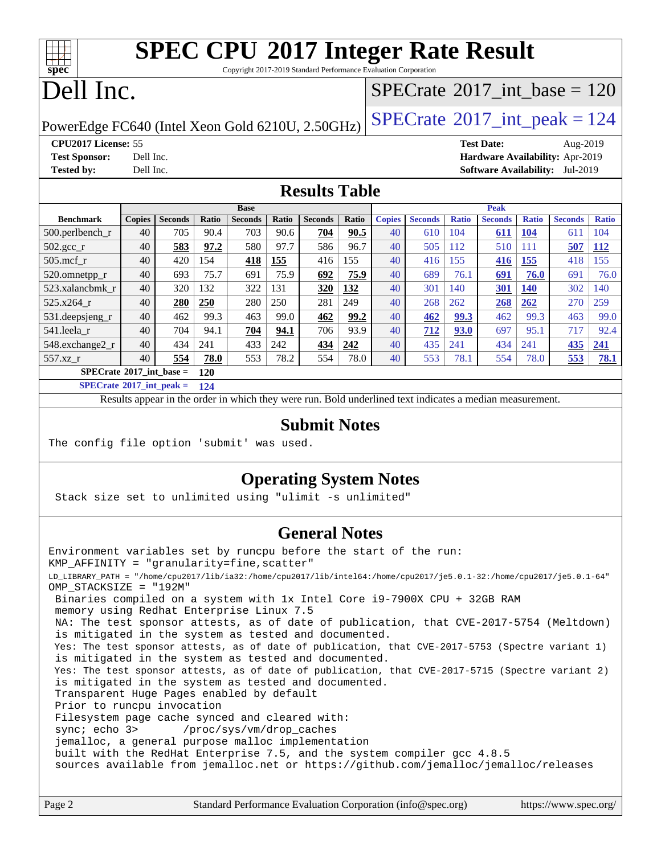Copyright 2017-2019 Standard Performance Evaluation Corporation

# Dell Inc.

**[spec](http://www.spec.org/)**

### $SPECTate@2017_int\_base = 120$

PowerEdge FC640 (Intel Xeon Gold 6210U, 2.50GHz)  $\left|$  [SPECrate](http://www.spec.org/auto/cpu2017/Docs/result-fields.html#SPECrate2017intpeak)<sup>®</sup>[2017\\_int\\_peak = 1](http://www.spec.org/auto/cpu2017/Docs/result-fields.html#SPECrate2017intpeak)24

**[Tested by:](http://www.spec.org/auto/cpu2017/Docs/result-fields.html#Testedby)** Dell Inc. **[Software Availability:](http://www.spec.org/auto/cpu2017/Docs/result-fields.html#SoftwareAvailability)** Jul-2019

**[CPU2017 License:](http://www.spec.org/auto/cpu2017/Docs/result-fields.html#CPU2017License)** 55 **[Test Date:](http://www.spec.org/auto/cpu2017/Docs/result-fields.html#TestDate)** Aug-2019 **[Test Sponsor:](http://www.spec.org/auto/cpu2017/Docs/result-fields.html#TestSponsor)** Dell Inc. **[Hardware Availability:](http://www.spec.org/auto/cpu2017/Docs/result-fields.html#HardwareAvailability)** Apr-2019

#### **[Results Table](http://www.spec.org/auto/cpu2017/Docs/result-fields.html#ResultsTable)**

|                    | <b>Base</b>                              |                |       |                | <b>Peak</b> |                |       |               |                |              |                |              |                |              |
|--------------------|------------------------------------------|----------------|-------|----------------|-------------|----------------|-------|---------------|----------------|--------------|----------------|--------------|----------------|--------------|
| <b>Benchmark</b>   | <b>Copies</b>                            | <b>Seconds</b> | Ratio | <b>Seconds</b> | Ratio       | <b>Seconds</b> | Ratio | <b>Copies</b> | <b>Seconds</b> | <b>Ratio</b> | <b>Seconds</b> | <b>Ratio</b> | <b>Seconds</b> | <b>Ratio</b> |
| $500$ .perlbench r | 40                                       | 705            | 90.4  | 703            | 90.6        | 704            | 90.5  | 40            | 610            | 104          | 611            | <b>104</b>   | 611            | 104          |
| $502.\text{gcc}_r$ | 40                                       | 583            | 97.2  | 580            | 97.7        | 586            | 96.7  | 40            | 505            | 112          | 510            | 111          | 507            | <b>112</b>   |
| $505$ .mcf r       | 40                                       | 420            | 154   | 418            | 155         | 416            | 155   | 40            | 416            | 155          | 416            | 155          | 418            | 155          |
| 520.omnetpp_r      | 40                                       | 693            | 75.7  | 691            | 75.9        | 692            | 75.9  | 40            | 689            | 76.1         | 691            | 76.0         | 691            | 76.0         |
| 523.xalancbmk r    | 40                                       | 320            | 132   | 322            | 131         | 320            | 132   | 40            | 301            | 140          | 301            | <b>140</b>   | 302            | 140          |
| 525.x264 r         | 40                                       | 280            | 250   | 280            | 250         | 281            | 249   | 40            | 268            | 262          | 268            | 262          | 270            | 259          |
| 531.deepsjeng_r    | 40                                       | 462            | 99.3  | 463            | 99.0        | 462            | 99.2  | 40            | 462            | 99.3         | 462            | 99.3         | 463            | 99.0         |
| 541.leela r        | 40                                       | 704            | 94.1  | 704            | 94.1        | 706            | 93.9  | 40            | 712            | 93.0         | 697            | 95.1         | 717            | 92.4         |
| 548.exchange2_r    | 40                                       | 434            | 241   | 433            | 242         | 434            | 242   | 40            | 435            | 241          | 434            | 241          | 435            | 241          |
| 557.xz r           | 40                                       | 554            | 78.0  | 553            | 78.2        | 554            | 78.0  | 40            | 553            | 78.1         | 554            | 78.0         | 553            | <b>78.1</b>  |
|                    | $SPECrate^{\circ}2017$ int base =<br>120 |                |       |                |             |                |       |               |                |              |                |              |                |              |

**[SPECrate](http://www.spec.org/auto/cpu2017/Docs/result-fields.html#SPECrate2017intpeak)[2017\\_int\\_peak =](http://www.spec.org/auto/cpu2017/Docs/result-fields.html#SPECrate2017intpeak) 124**

Results appear in the [order in which they were run.](http://www.spec.org/auto/cpu2017/Docs/result-fields.html#RunOrder) Bold underlined text [indicates a median measurement.](http://www.spec.org/auto/cpu2017/Docs/result-fields.html#Median)

#### **[Submit Notes](http://www.spec.org/auto/cpu2017/Docs/result-fields.html#SubmitNotes)**

The config file option 'submit' was used.

#### **[Operating System Notes](http://www.spec.org/auto/cpu2017/Docs/result-fields.html#OperatingSystemNotes)**

Stack size set to unlimited using "ulimit -s unlimited"

#### **[General Notes](http://www.spec.org/auto/cpu2017/Docs/result-fields.html#GeneralNotes)**

Environment variables set by runcpu before the start of the run: KMP\_AFFINITY = "granularity=fine,scatter" LD\_LIBRARY\_PATH = "/home/cpu2017/lib/ia32:/home/cpu2017/lib/intel64:/home/cpu2017/je5.0.1-32:/home/cpu2017/je5.0.1-64" OMP\_STACKSIZE = "192M" Binaries compiled on a system with 1x Intel Core i9-7900X CPU + 32GB RAM memory using Redhat Enterprise Linux 7.5 NA: The test sponsor attests, as of date of publication, that CVE-2017-5754 (Meltdown) is mitigated in the system as tested and documented. Yes: The test sponsor attests, as of date of publication, that CVE-2017-5753 (Spectre variant 1) is mitigated in the system as tested and documented. Yes: The test sponsor attests, as of date of publication, that CVE-2017-5715 (Spectre variant 2) is mitigated in the system as tested and documented. Transparent Huge Pages enabled by default Prior to runcpu invocation Filesystem page cache synced and cleared with: sync; echo 3> /proc/sys/vm/drop\_caches jemalloc, a general purpose malloc implementation built with the RedHat Enterprise 7.5, and the system compiler gcc 4.8.5 sources available from jemalloc.net or <https://github.com/jemalloc/jemalloc/releases>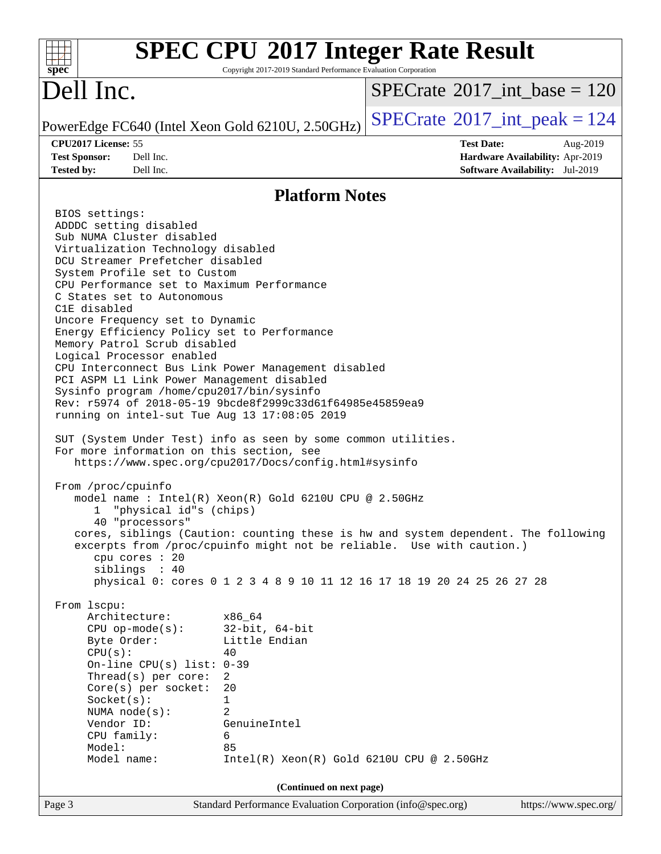| $spec^*$                                                                                                                                                                                                                                                                                                                                                                                                                                                                                                                                                                                                                                                                                                                                                                                                                                                                                                                                                                                                                                                                                                         | Copyright 2017-2019 Standard Performance Evaluation Corporation                          | <b>SPEC CPU®2017 Integer Rate Result</b>                                                                                                                                                                                              |  |
|------------------------------------------------------------------------------------------------------------------------------------------------------------------------------------------------------------------------------------------------------------------------------------------------------------------------------------------------------------------------------------------------------------------------------------------------------------------------------------------------------------------------------------------------------------------------------------------------------------------------------------------------------------------------------------------------------------------------------------------------------------------------------------------------------------------------------------------------------------------------------------------------------------------------------------------------------------------------------------------------------------------------------------------------------------------------------------------------------------------|------------------------------------------------------------------------------------------|---------------------------------------------------------------------------------------------------------------------------------------------------------------------------------------------------------------------------------------|--|
| Dell Inc.                                                                                                                                                                                                                                                                                                                                                                                                                                                                                                                                                                                                                                                                                                                                                                                                                                                                                                                                                                                                                                                                                                        |                                                                                          | $SPECrate^{\circledast}2017$ int base = 120                                                                                                                                                                                           |  |
| PowerEdge FC640 (Intel Xeon Gold 6210U, 2.50GHz)                                                                                                                                                                                                                                                                                                                                                                                                                                                                                                                                                                                                                                                                                                                                                                                                                                                                                                                                                                                                                                                                 |                                                                                          | $SPECrate^{\circ}2017\_int\_peak = 124$                                                                                                                                                                                               |  |
| CPU2017 License: 55<br>Dell Inc.<br><b>Test Sponsor:</b><br>Dell Inc.<br><b>Tested by:</b>                                                                                                                                                                                                                                                                                                                                                                                                                                                                                                                                                                                                                                                                                                                                                                                                                                                                                                                                                                                                                       |                                                                                          | <b>Test Date:</b><br>Aug-2019<br>Hardware Availability: Apr-2019<br><b>Software Availability:</b> Jul-2019                                                                                                                            |  |
|                                                                                                                                                                                                                                                                                                                                                                                                                                                                                                                                                                                                                                                                                                                                                                                                                                                                                                                                                                                                                                                                                                                  | <b>Platform Notes</b>                                                                    |                                                                                                                                                                                                                                       |  |
| BIOS settings:<br>ADDDC setting disabled<br>Sub NUMA Cluster disabled<br>Virtualization Technology disabled<br>DCU Streamer Prefetcher disabled<br>System Profile set to Custom<br>CPU Performance set to Maximum Performance<br>C States set to Autonomous<br>C1E disabled<br>Uncore Frequency set to Dynamic<br>Energy Efficiency Policy set to Performance<br>Memory Patrol Scrub disabled<br>Logical Processor enabled<br>CPU Interconnect Bus Link Power Management disabled<br>PCI ASPM L1 Link Power Management disabled<br>Sysinfo program /home/cpu2017/bin/sysinfo<br>Rev: r5974 of 2018-05-19 9bcde8f2999c33d61f64985e45859ea9<br>running on intel-sut Tue Aug 13 17:08:05 2019<br>SUT (System Under Test) info as seen by some common utilities.<br>For more information on this section, see<br>https://www.spec.org/cpu2017/Docs/config.html#sysinfo<br>From /proc/cpuinfo<br>model name : Intel(R) Xeon(R) Gold 6210U CPU @ 2.50GHz<br>"physical id"s (chips)<br>ı,<br>40 "processors"<br>cpu cores : 20<br>siblings : 40<br>From lscpu:<br>Architecture:<br>$CPU$ op-mode( $s$ ):<br>Byte Order: | x86_64<br>$32$ -bit, $64$ -bit<br>Little Endian                                          | cores, siblings (Caution: counting these is hw and system dependent. The following<br>excerpts from /proc/cpuinfo might not be reliable. Use with caution.)<br>physical 0: cores 0 1 2 3 4 8 9 10 11 12 16 17 18 19 20 24 25 26 27 28 |  |
| CPU(s):<br>On-line CPU(s) list: $0-39$<br>Thread(s) per core:<br>$Core(s)$ per socket:<br>Socket(s):                                                                                                                                                                                                                                                                                                                                                                                                                                                                                                                                                                                                                                                                                                                                                                                                                                                                                                                                                                                                             | 40<br>$\overline{2}$<br>20<br>1                                                          |                                                                                                                                                                                                                                       |  |
| NUMA $node(s):$<br>Vendor ID:<br>CPU family:<br>Model:<br>Model name:                                                                                                                                                                                                                                                                                                                                                                                                                                                                                                                                                                                                                                                                                                                                                                                                                                                                                                                                                                                                                                            | $\overline{2}$<br>GenuineIntel<br>6<br>85<br>$Intel(R) Xeon(R) Gold 6210U CPU @ 2.50GHz$ |                                                                                                                                                                                                                                       |  |
|                                                                                                                                                                                                                                                                                                                                                                                                                                                                                                                                                                                                                                                                                                                                                                                                                                                                                                                                                                                                                                                                                                                  | (Continued on next page)                                                                 |                                                                                                                                                                                                                                       |  |
| Page 3                                                                                                                                                                                                                                                                                                                                                                                                                                                                                                                                                                                                                                                                                                                                                                                                                                                                                                                                                                                                                                                                                                           | Standard Performance Evaluation Corporation (info@spec.org)                              | https://www.spec.org/                                                                                                                                                                                                                 |  |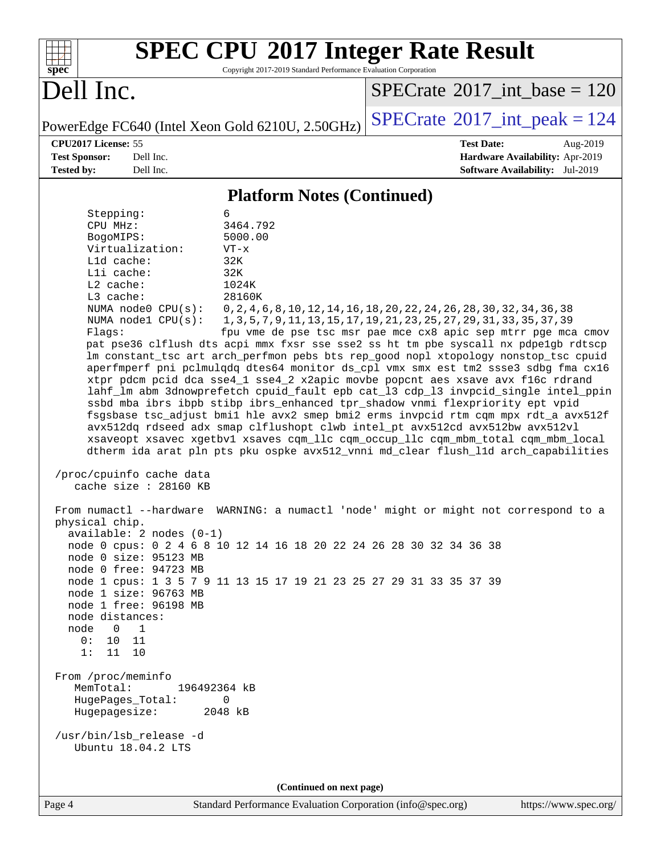|                                                                                                                      |                                                                                                                                                                                                      | <b>SPEC CPU®2017 Integer Rate Result</b>                                                                                                                                                                                                                                                                                                                                                                                                                                                                                                                                                                                                                                                                                                                                                                                                                                                                                                                                                                                                                                                                                                                                                                                                                                                                                                                                                                          |                                             |                                                                    |
|----------------------------------------------------------------------------------------------------------------------|------------------------------------------------------------------------------------------------------------------------------------------------------------------------------------------------------|-------------------------------------------------------------------------------------------------------------------------------------------------------------------------------------------------------------------------------------------------------------------------------------------------------------------------------------------------------------------------------------------------------------------------------------------------------------------------------------------------------------------------------------------------------------------------------------------------------------------------------------------------------------------------------------------------------------------------------------------------------------------------------------------------------------------------------------------------------------------------------------------------------------------------------------------------------------------------------------------------------------------------------------------------------------------------------------------------------------------------------------------------------------------------------------------------------------------------------------------------------------------------------------------------------------------------------------------------------------------------------------------------------------------|---------------------------------------------|--------------------------------------------------------------------|
| spec®                                                                                                                |                                                                                                                                                                                                      | Copyright 2017-2019 Standard Performance Evaluation Corporation                                                                                                                                                                                                                                                                                                                                                                                                                                                                                                                                                                                                                                                                                                                                                                                                                                                                                                                                                                                                                                                                                                                                                                                                                                                                                                                                                   |                                             |                                                                    |
| Dell Inc.                                                                                                            |                                                                                                                                                                                                      |                                                                                                                                                                                                                                                                                                                                                                                                                                                                                                                                                                                                                                                                                                                                                                                                                                                                                                                                                                                                                                                                                                                                                                                                                                                                                                                                                                                                                   | $SPECrate^{\circ}2017\_int\_base = 120$     |                                                                    |
|                                                                                                                      |                                                                                                                                                                                                      | PowerEdge FC640 (Intel Xeon Gold 6210U, 2.50GHz)                                                                                                                                                                                                                                                                                                                                                                                                                                                                                                                                                                                                                                                                                                                                                                                                                                                                                                                                                                                                                                                                                                                                                                                                                                                                                                                                                                  | $SPECrate$ <sup>®</sup> 2017_int_peak = 124 |                                                                    |
| CPU2017 License: 55                                                                                                  |                                                                                                                                                                                                      |                                                                                                                                                                                                                                                                                                                                                                                                                                                                                                                                                                                                                                                                                                                                                                                                                                                                                                                                                                                                                                                                                                                                                                                                                                                                                                                                                                                                                   | <b>Test Date:</b>                           | Aug-2019                                                           |
| <b>Test Sponsor:</b><br><b>Tested by:</b>                                                                            | Dell Inc.<br>Dell Inc.                                                                                                                                                                               |                                                                                                                                                                                                                                                                                                                                                                                                                                                                                                                                                                                                                                                                                                                                                                                                                                                                                                                                                                                                                                                                                                                                                                                                                                                                                                                                                                                                                   |                                             | Hardware Availability: Apr-2019<br>Software Availability: Jul-2019 |
|                                                                                                                      |                                                                                                                                                                                                      |                                                                                                                                                                                                                                                                                                                                                                                                                                                                                                                                                                                                                                                                                                                                                                                                                                                                                                                                                                                                                                                                                                                                                                                                                                                                                                                                                                                                                   |                                             |                                                                    |
|                                                                                                                      |                                                                                                                                                                                                      | <b>Platform Notes (Continued)</b>                                                                                                                                                                                                                                                                                                                                                                                                                                                                                                                                                                                                                                                                                                                                                                                                                                                                                                                                                                                                                                                                                                                                                                                                                                                                                                                                                                                 |                                             |                                                                    |
| Stepping:<br>CPU MHz:<br>BogoMIPS:<br>Lld cache:<br>Lli cache:<br>L2 cache:<br>L3 cache:<br>Flags:<br>physical chip. | Virtualization:<br>NUMA node0 CPU(s):<br>NUMA $node1$ $CPU(s):$<br>/proc/cpuinfo cache data<br>cache size : 28160 KB<br>$available: 2 nodes (0-1)$<br>node 0 size: 95123 MB<br>node 0 free: 94723 MB | 6<br>3464.792<br>5000.00<br>$VT - x$<br>32K<br>32K<br>1024K<br>28160K<br>0, 2, 4, 6, 8, 10, 12, 14, 16, 18, 20, 22, 24, 26, 28, 30, 32, 34, 36, 38<br>1, 3, 5, 7, 9, 11, 13, 15, 17, 19, 21, 23, 25, 27, 29, 31, 33, 35, 37, 39<br>fpu vme de pse tsc msr pae mce cx8 apic sep mtrr pge mca cmov<br>pat pse36 clflush dts acpi mmx fxsr sse sse2 ss ht tm pbe syscall nx pdpe1gb rdtscp<br>lm constant_tsc art arch_perfmon pebs bts rep_good nopl xtopology nonstop_tsc cpuid<br>aperfmperf pni pclmulqdq dtes64 monitor ds_cpl vmx smx est tm2 ssse3 sdbg fma cx16<br>xtpr pdcm pcid dca sse4_1 sse4_2 x2apic movbe popcnt aes xsave avx f16c rdrand<br>lahf_lm abm 3dnowprefetch cpuid_fault epb cat_13 cdp_13 invpcid_single intel_ppin<br>ssbd mba ibrs ibpb stibp ibrs_enhanced tpr_shadow vnmi flexpriority ept vpid<br>fsgsbase tsc_adjust bmil hle avx2 smep bmi2 erms invpcid rtm cqm mpx rdt_a avx512f<br>avx512dq rdseed adx smap clflushopt clwb intel_pt avx512cd avx512bw avx512vl<br>xsaveopt xsavec xgetbvl xsaves cqm_llc cqm_occup_llc cqm_mbm_total cqm_mbm_local<br>dtherm ida arat pln pts pku ospke avx512_vnni md_clear flush_lld arch_capabilities<br>From numactl --hardware WARNING: a numactl 'node' might or might not correspond to a<br>node 0 cpus: 0 2 4 6 8 10 12 14 16 18 20 22 24 26 28 30 32 34 36 38<br>node 1 cpus: 1 3 5 7 9 11 13 15 17 19 21 23 25 27 29 31 33 35 37 39 |                                             |                                                                    |
| node distances:<br>node<br>$\Omega$<br>0:<br>1:<br>11 10                                                             | node 1 size: 96763 MB<br>node 1 free: 96198 MB<br>$\overline{1}$<br>10 11                                                                                                                            |                                                                                                                                                                                                                                                                                                                                                                                                                                                                                                                                                                                                                                                                                                                                                                                                                                                                                                                                                                                                                                                                                                                                                                                                                                                                                                                                                                                                                   |                                             |                                                                    |
| From /proc/meminfo<br>MemTotal:<br>HugePages_Total:                                                                  | Hugepagesize:                                                                                                                                                                                        | 196492364 kB<br>0<br>2048 kB                                                                                                                                                                                                                                                                                                                                                                                                                                                                                                                                                                                                                                                                                                                                                                                                                                                                                                                                                                                                                                                                                                                                                                                                                                                                                                                                                                                      |                                             |                                                                    |
|                                                                                                                      | /usr/bin/lsb_release -d<br>Ubuntu 18.04.2 LTS                                                                                                                                                        |                                                                                                                                                                                                                                                                                                                                                                                                                                                                                                                                                                                                                                                                                                                                                                                                                                                                                                                                                                                                                                                                                                                                                                                                                                                                                                                                                                                                                   |                                             |                                                                    |
|                                                                                                                      |                                                                                                                                                                                                      | (Continued on next page)                                                                                                                                                                                                                                                                                                                                                                                                                                                                                                                                                                                                                                                                                                                                                                                                                                                                                                                                                                                                                                                                                                                                                                                                                                                                                                                                                                                          |                                             |                                                                    |
| $\Gamma$ <sub>0.00</sub> $\Lambda$                                                                                   |                                                                                                                                                                                                      | Standard Bartormanaa Evaluation Corneration (info@gnae.org) https://www.cnae.org                                                                                                                                                                                                                                                                                                                                                                                                                                                                                                                                                                                                                                                                                                                                                                                                                                                                                                                                                                                                                                                                                                                                                                                                                                                                                                                                  |                                             |                                                                    |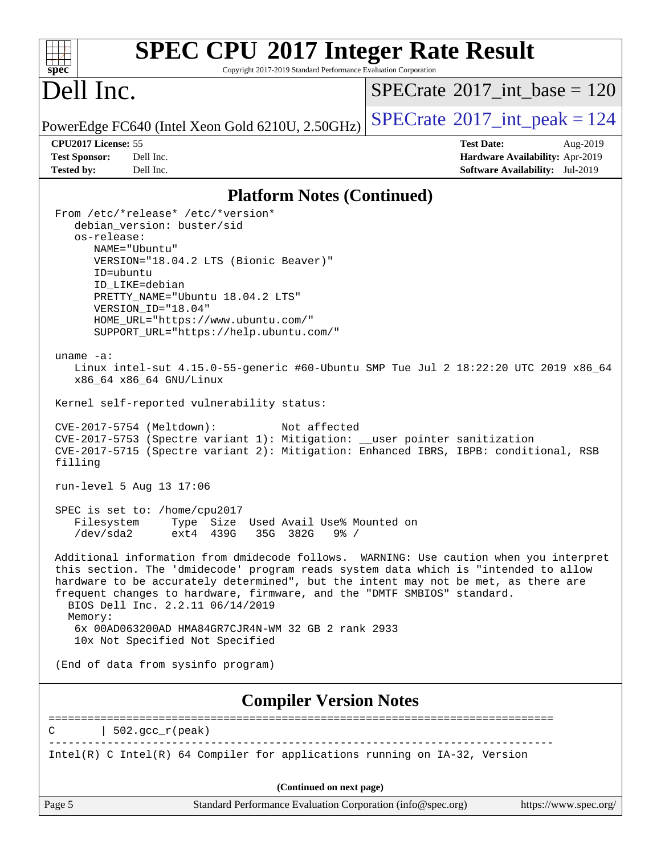| <b>SPEC CPU®2017 Integer Rate Result</b><br>spec <sup>®</sup><br>Copyright 2017-2019 Standard Performance Evaluation Corporation                                                                                                                                                                                                                                                                                                                                                                                                                                                                                                                                                                                                 |                                             |
|----------------------------------------------------------------------------------------------------------------------------------------------------------------------------------------------------------------------------------------------------------------------------------------------------------------------------------------------------------------------------------------------------------------------------------------------------------------------------------------------------------------------------------------------------------------------------------------------------------------------------------------------------------------------------------------------------------------------------------|---------------------------------------------|
| Dell Inc.                                                                                                                                                                                                                                                                                                                                                                                                                                                                                                                                                                                                                                                                                                                        | $SPECTate$ <sup>®</sup> 2017_int_base = 120 |
| PowerEdge FC640 (Intel Xeon Gold 6210U, 2.50GHz)                                                                                                                                                                                                                                                                                                                                                                                                                                                                                                                                                                                                                                                                                 | $SPECrate^{\circ}2017\_int\_peak = 124$     |
| CPU2017 License: 55                                                                                                                                                                                                                                                                                                                                                                                                                                                                                                                                                                                                                                                                                                              | <b>Test Date:</b><br>Aug-2019               |
| Dell Inc.<br><b>Test Sponsor:</b>                                                                                                                                                                                                                                                                                                                                                                                                                                                                                                                                                                                                                                                                                                | Hardware Availability: Apr-2019             |
| <b>Tested by:</b><br>Dell Inc.                                                                                                                                                                                                                                                                                                                                                                                                                                                                                                                                                                                                                                                                                                   | Software Availability: Jul-2019             |
| <b>Platform Notes (Continued)</b>                                                                                                                                                                                                                                                                                                                                                                                                                                                                                                                                                                                                                                                                                                |                                             |
| From /etc/*release* /etc/*version*<br>debian_version: buster/sid<br>os-release:<br>NAME="Ubuntu"<br>VERSION="18.04.2 LTS (Bionic Beaver)"<br>ID=ubuntu<br>ID LIKE=debian<br>PRETTY_NAME="Ubuntu 18.04.2 LTS"<br>VERSION_ID="18.04"<br>HOME URL="https://www.ubuntu.com/"<br>SUPPORT_URL="https://help.ubuntu.com/"<br>uname $-a$ :<br>Linux intel-sut 4.15.0-55-generic #60-Ubuntu SMP Tue Jul 2 18:22:20 UTC 2019 x86_64<br>x86_64 x86_64 GNU/Linux<br>Kernel self-reported vulnerability status:<br>CVE-2017-5754 (Meltdown):<br>Not affected<br>CVE-2017-5753 (Spectre variant 1): Mitigation: __user pointer sanitization<br>CVE-2017-5715 (Spectre variant 2): Mitigation: Enhanced IBRS, IBPB: conditional, RSB<br>filling |                                             |
| run-level 5 Aug 13 17:06                                                                                                                                                                                                                                                                                                                                                                                                                                                                                                                                                                                                                                                                                                         |                                             |
| SPEC is set to: /home/cpu2017<br>Filesystem<br>Type Size Used Avail Use% Mounted on<br>$/\text{dev/sda2}$<br>ext4 439G<br>35G<br>382G<br>$9\frac{6}{9}$ /                                                                                                                                                                                                                                                                                                                                                                                                                                                                                                                                                                        |                                             |
| Additional information from dmidecode follows. WARNING: Use caution when you interpret<br>this section. The 'dmidecode' program reads system data which is "intended to allow<br>hardware to be accurately determined", but the intent may not be met, as there are<br>frequent changes to hardware, firmware, and the "DMTF SMBIOS" standard.<br>BIOS Dell Inc. 2.2.11 06/14/2019<br>Memory:<br>6x 00AD063200AD HMA84GR7CJR4N-WM 32 GB 2 rank 2933<br>10x Not Specified Not Specified                                                                                                                                                                                                                                           |                                             |
| (End of data from sysinfo program)                                                                                                                                                                                                                                                                                                                                                                                                                                                                                                                                                                                                                                                                                               |                                             |
| <b>Compiler Version Notes</b>                                                                                                                                                                                                                                                                                                                                                                                                                                                                                                                                                                                                                                                                                                    |                                             |
|                                                                                                                                                                                                                                                                                                                                                                                                                                                                                                                                                                                                                                                                                                                                  |                                             |
| $  502.\text{gcc_r(peak)}$<br>________________________________                                                                                                                                                                                                                                                                                                                                                                                                                                                                                                                                                                                                                                                                   |                                             |
| Intel(R) C Intel(R) 64 Compiler for applications running on IA-32, Version                                                                                                                                                                                                                                                                                                                                                                                                                                                                                                                                                                                                                                                       |                                             |
| (Continued on next page)                                                                                                                                                                                                                                                                                                                                                                                                                                                                                                                                                                                                                                                                                                         |                                             |
| Page 5<br>Standard Performance Evaluation Corporation (info@spec.org)                                                                                                                                                                                                                                                                                                                                                                                                                                                                                                                                                                                                                                                            | https://www.spec.org/                       |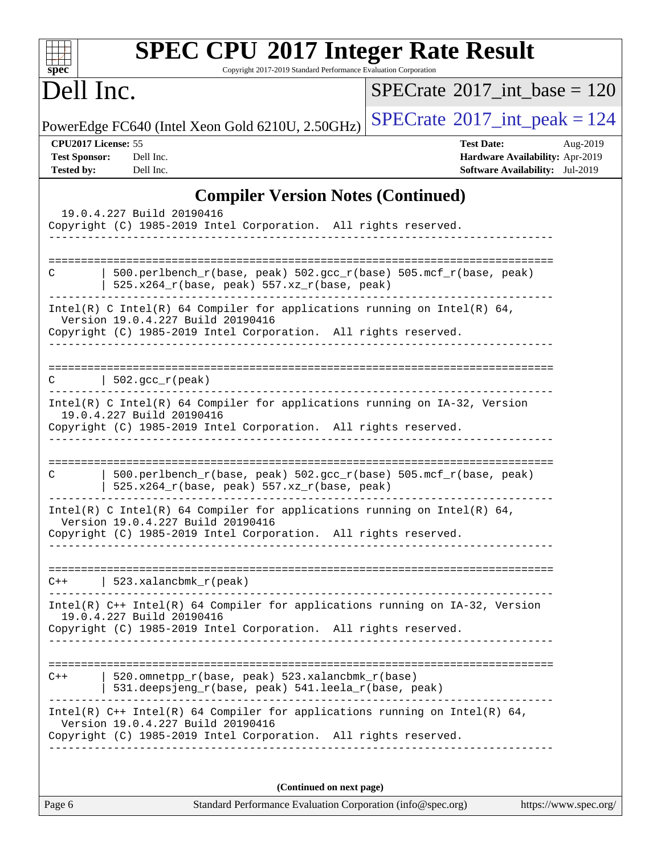| <b>SPEC CPU®2017 Integer Rate Result</b><br>Copyright 2017-2019 Standard Performance Evaluation Corporation<br>$spec^*$                                                              |                                                                                                            |
|--------------------------------------------------------------------------------------------------------------------------------------------------------------------------------------|------------------------------------------------------------------------------------------------------------|
| Dell Inc.                                                                                                                                                                            | $SPECrate^{\circledast}2017$ int base = 120                                                                |
| PowerEdge FC640 (Intel Xeon Gold 6210U, 2.50GHz)                                                                                                                                     | $SPECrate^{\circ}2017\_int\_peak = 124$                                                                    |
| CPU2017 License: 55<br>Dell Inc.<br><b>Test Sponsor:</b><br><b>Tested by:</b><br>Dell Inc.                                                                                           | <b>Test Date:</b><br>Aug-2019<br>Hardware Availability: Apr-2019<br><b>Software Availability:</b> Jul-2019 |
| <b>Compiler Version Notes (Continued)</b>                                                                                                                                            |                                                                                                            |
| 19.0.4.227 Build 20190416<br>Copyright (C) 1985-2019 Intel Corporation. All rights reserved.                                                                                         |                                                                                                            |
|                                                                                                                                                                                      |                                                                                                            |
| 500.perlbench_r(base, peak) 502.gcc_r(base) 505.mcf_r(base, peak)<br>C<br>525.x264_r(base, peak) 557.xz_r(base, peak)                                                                |                                                                                                            |
| Intel(R) C Intel(R) 64 Compiler for applications running on Intel(R) 64,<br>Version 19.0.4.227 Build 20190416<br>Copyright (C) 1985-2019 Intel Corporation. All rights reserved.     |                                                                                                            |
|                                                                                                                                                                                      |                                                                                                            |
| 502.gcc_r(peak)                                                                                                                                                                      |                                                                                                            |
| Intel(R) C Intel(R) 64 Compiler for applications running on IA-32, Version<br>19.0.4.227 Build 20190416<br>Copyright (C) 1985-2019 Intel Corporation. All rights reserved.           |                                                                                                            |
|                                                                                                                                                                                      | ===========                                                                                                |
| 500.perlbench_r(base, peak) 502.gcc_r(base) 505.mcf_r(base, peak)<br>C<br>525.x264_r(base, peak) 557.xz_r(base, peak)                                                                |                                                                                                            |
| Intel(R) C Intel(R) 64 Compiler for applications running on Intel(R) 64,<br>Version 19.0.4.227 Build 20190416<br>Copyright (C) 1985-2019 Intel Corporation. All rights reserved.     |                                                                                                            |
|                                                                                                                                                                                      |                                                                                                            |
| 523. $x$ alanc $b$ mk $r$ (peak)<br>$C++$                                                                                                                                            |                                                                                                            |
| Intel(R) C++ Intel(R) 64 Compiler for applications running on IA-32, Version<br>19.0.4.227 Build 20190416<br>Copyright (C) 1985-2019 Intel Corporation. All rights reserved.         |                                                                                                            |
|                                                                                                                                                                                      |                                                                                                            |
| 520.omnetpp_r(base, peak) 523.xalancbmk_r(base)<br>$C++$<br>531.deepsjeng_r(base, peak) 541.leela_r(base, peak)                                                                      |                                                                                                            |
| Intel(R) $C++$ Intel(R) 64 Compiler for applications running on Intel(R) 64,<br>Version 19.0.4.227 Build 20190416<br>Copyright (C) 1985-2019 Intel Corporation. All rights reserved. |                                                                                                            |
| (Continued on next page)                                                                                                                                                             |                                                                                                            |
| Page 6<br>Standard Performance Evaluation Corporation (info@spec.org)                                                                                                                | https://www.spec.org/                                                                                      |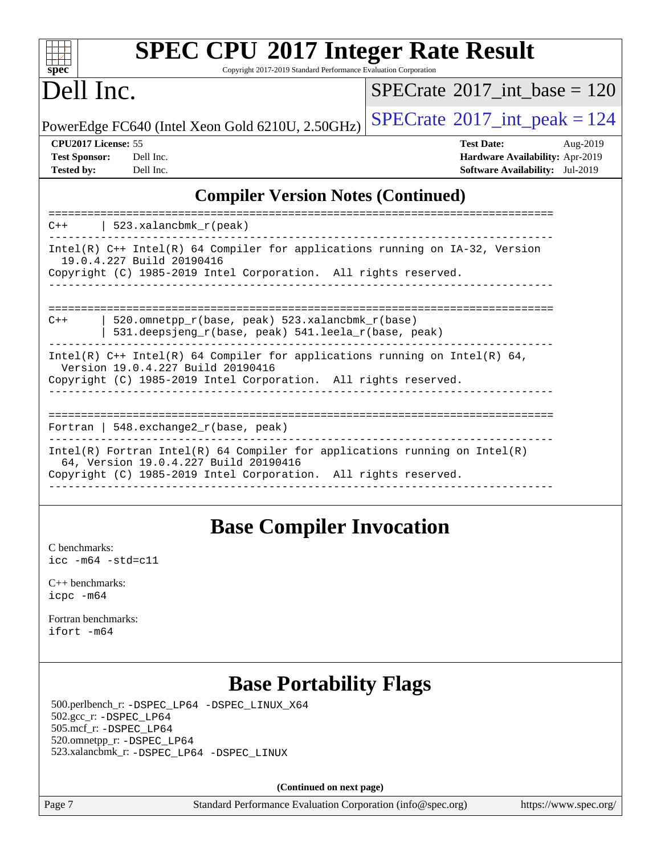| s<br>æ<br>U<br>Ú |  |  |  |  |  |
|------------------|--|--|--|--|--|

Copyright 2017-2019 Standard Performance Evaluation Corporation

## Dell Inc.

 $SPECTate@2017_int\_base = 120$ 

PowerEdge FC640 (Intel Xeon Gold 6210U, 2.50GHz)  $\left|$  [SPECrate](http://www.spec.org/auto/cpu2017/Docs/result-fields.html#SPECrate2017intpeak)<sup>®</sup>[2017\\_int\\_peak = 1](http://www.spec.org/auto/cpu2017/Docs/result-fields.html#SPECrate2017intpeak)24

**[CPU2017 License:](http://www.spec.org/auto/cpu2017/Docs/result-fields.html#CPU2017License)** 55 **[Test Date:](http://www.spec.org/auto/cpu2017/Docs/result-fields.html#TestDate)** Aug-2019 **[Test Sponsor:](http://www.spec.org/auto/cpu2017/Docs/result-fields.html#TestSponsor)** Dell Inc. **[Hardware Availability:](http://www.spec.org/auto/cpu2017/Docs/result-fields.html#HardwareAvailability)** Apr-2019 **[Tested by:](http://www.spec.org/auto/cpu2017/Docs/result-fields.html#Testedby)** Dell Inc. **[Software Availability:](http://www.spec.org/auto/cpu2017/Docs/result-fields.html#SoftwareAvailability)** Jul-2019

#### **[Compiler Version Notes \(Continued\)](http://www.spec.org/auto/cpu2017/Docs/result-fields.html#CompilerVersionNotes)**

| $C++$ | 523.xalancbmk r(peak)                                                                                                                                                                    |
|-------|------------------------------------------------------------------------------------------------------------------------------------------------------------------------------------------|
|       | Intel(R) $C++$ Intel(R) 64 Compiler for applications running on IA-32, Version<br>19.0.4.227 Build 20190416<br>Copyright (C) 1985-2019 Intel Corporation. All rights reserved.           |
| $C++$ | 520.omnetpp $r(base, peak)$ 523.xalancbmk $r(base)$<br>531.deepsjeng_r(base, peak) 541.leela_r(base, peak)                                                                               |
|       | Intel(R) $C++$ Intel(R) 64 Compiler for applications running on Intel(R) 64,<br>Version 19.0.4.227 Build 20190416<br>Copyright (C) 1985-2019 Intel Corporation. All rights reserved.     |
|       | Fortran   548.exchange2 $r(base, peak)$                                                                                                                                                  |
|       | $Intel(R)$ Fortran Intel(R) 64 Compiler for applications running on Intel(R)<br>64, Version 19.0.4.227 Build 20190416<br>Copyright (C) 1985-2019 Intel Corporation. All rights reserved. |

### **[Base Compiler Invocation](http://www.spec.org/auto/cpu2017/Docs/result-fields.html#BaseCompilerInvocation)**

[C benchmarks](http://www.spec.org/auto/cpu2017/Docs/result-fields.html#Cbenchmarks): [icc -m64 -std=c11](http://www.spec.org/cpu2017/results/res2019q3/cpu2017-20190819-16945.flags.html#user_CCbase_intel_icc_64bit_c11_33ee0cdaae7deeeab2a9725423ba97205ce30f63b9926c2519791662299b76a0318f32ddfffdc46587804de3178b4f9328c46fa7c2b0cd779d7a61945c91cd35)

[C++ benchmarks:](http://www.spec.org/auto/cpu2017/Docs/result-fields.html#CXXbenchmarks) [icpc -m64](http://www.spec.org/cpu2017/results/res2019q3/cpu2017-20190819-16945.flags.html#user_CXXbase_intel_icpc_64bit_4ecb2543ae3f1412ef961e0650ca070fec7b7afdcd6ed48761b84423119d1bf6bdf5cad15b44d48e7256388bc77273b966e5eb805aefd121eb22e9299b2ec9d9)

[Fortran benchmarks](http://www.spec.org/auto/cpu2017/Docs/result-fields.html#Fortranbenchmarks): [ifort -m64](http://www.spec.org/cpu2017/results/res2019q3/cpu2017-20190819-16945.flags.html#user_FCbase_intel_ifort_64bit_24f2bb282fbaeffd6157abe4f878425411749daecae9a33200eee2bee2fe76f3b89351d69a8130dd5949958ce389cf37ff59a95e7a40d588e8d3a57e0c3fd751)

### **[Base Portability Flags](http://www.spec.org/auto/cpu2017/Docs/result-fields.html#BasePortabilityFlags)**

 500.perlbench\_r: [-DSPEC\\_LP64](http://www.spec.org/cpu2017/results/res2019q3/cpu2017-20190819-16945.flags.html#b500.perlbench_r_basePORTABILITY_DSPEC_LP64) [-DSPEC\\_LINUX\\_X64](http://www.spec.org/cpu2017/results/res2019q3/cpu2017-20190819-16945.flags.html#b500.perlbench_r_baseCPORTABILITY_DSPEC_LINUX_X64) 502.gcc\_r: [-DSPEC\\_LP64](http://www.spec.org/cpu2017/results/res2019q3/cpu2017-20190819-16945.flags.html#suite_basePORTABILITY502_gcc_r_DSPEC_LP64) 505.mcf\_r: [-DSPEC\\_LP64](http://www.spec.org/cpu2017/results/res2019q3/cpu2017-20190819-16945.flags.html#suite_basePORTABILITY505_mcf_r_DSPEC_LP64) 520.omnetpp\_r: [-DSPEC\\_LP64](http://www.spec.org/cpu2017/results/res2019q3/cpu2017-20190819-16945.flags.html#suite_basePORTABILITY520_omnetpp_r_DSPEC_LP64) 523.xalancbmk\_r: [-DSPEC\\_LP64](http://www.spec.org/cpu2017/results/res2019q3/cpu2017-20190819-16945.flags.html#suite_basePORTABILITY523_xalancbmk_r_DSPEC_LP64) [-DSPEC\\_LINUX](http://www.spec.org/cpu2017/results/res2019q3/cpu2017-20190819-16945.flags.html#b523.xalancbmk_r_baseCXXPORTABILITY_DSPEC_LINUX)

**(Continued on next page)**

Page 7 Standard Performance Evaluation Corporation [\(info@spec.org\)](mailto:info@spec.org) <https://www.spec.org/>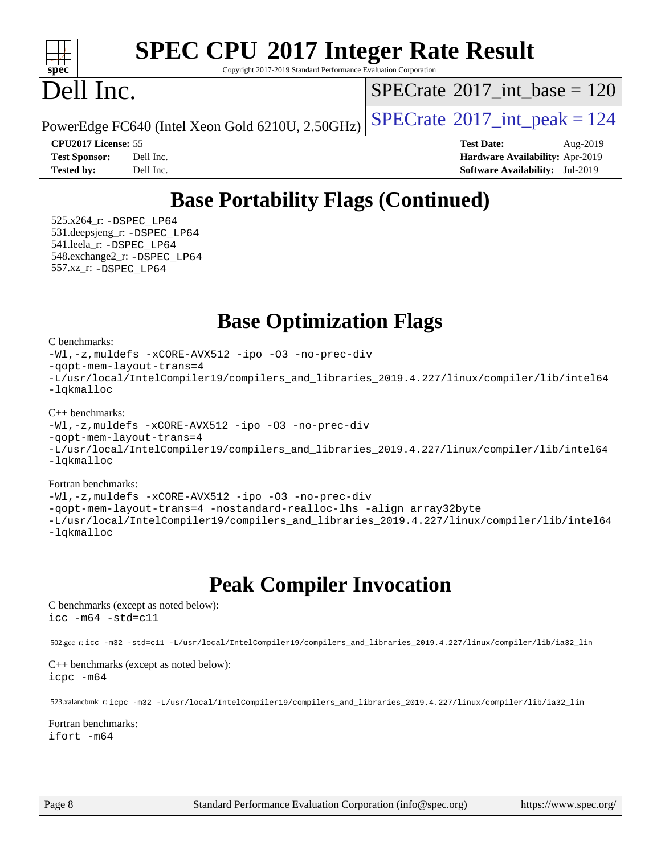#### $+\ +$ **[spec](http://www.spec.org/)**

# **[SPEC CPU](http://www.spec.org/auto/cpu2017/Docs/result-fields.html#SPECCPU2017IntegerRateResult)[2017 Integer Rate Result](http://www.spec.org/auto/cpu2017/Docs/result-fields.html#SPECCPU2017IntegerRateResult)**

Copyright 2017-2019 Standard Performance Evaluation Corporation

## Dell Inc.

 $SPECTate@2017_int\_base = 120$ 

PowerEdge FC640 (Intel Xeon Gold 6210U, 2.50GHz)  $\left|$  [SPECrate](http://www.spec.org/auto/cpu2017/Docs/result-fields.html#SPECrate2017intpeak)<sup>®</sup>[2017\\_int\\_peak = 1](http://www.spec.org/auto/cpu2017/Docs/result-fields.html#SPECrate2017intpeak)24

**[CPU2017 License:](http://www.spec.org/auto/cpu2017/Docs/result-fields.html#CPU2017License)** 55 **[Test Date:](http://www.spec.org/auto/cpu2017/Docs/result-fields.html#TestDate)** Aug-2019 **[Test Sponsor:](http://www.spec.org/auto/cpu2017/Docs/result-fields.html#TestSponsor)** Dell Inc. **[Hardware Availability:](http://www.spec.org/auto/cpu2017/Docs/result-fields.html#HardwareAvailability)** Apr-2019 **[Tested by:](http://www.spec.org/auto/cpu2017/Docs/result-fields.html#Testedby)** Dell Inc. **[Software Availability:](http://www.spec.org/auto/cpu2017/Docs/result-fields.html#SoftwareAvailability)** Jul-2019

## **[Base Portability Flags \(Continued\)](http://www.spec.org/auto/cpu2017/Docs/result-fields.html#BasePortabilityFlags)**

 525.x264\_r: [-DSPEC\\_LP64](http://www.spec.org/cpu2017/results/res2019q3/cpu2017-20190819-16945.flags.html#suite_basePORTABILITY525_x264_r_DSPEC_LP64) 531.deepsjeng\_r: [-DSPEC\\_LP64](http://www.spec.org/cpu2017/results/res2019q3/cpu2017-20190819-16945.flags.html#suite_basePORTABILITY531_deepsjeng_r_DSPEC_LP64) 541.leela\_r: [-DSPEC\\_LP64](http://www.spec.org/cpu2017/results/res2019q3/cpu2017-20190819-16945.flags.html#suite_basePORTABILITY541_leela_r_DSPEC_LP64) 548.exchange2\_r: [-DSPEC\\_LP64](http://www.spec.org/cpu2017/results/res2019q3/cpu2017-20190819-16945.flags.html#suite_basePORTABILITY548_exchange2_r_DSPEC_LP64) 557.xz\_r: [-DSPEC\\_LP64](http://www.spec.org/cpu2017/results/res2019q3/cpu2017-20190819-16945.flags.html#suite_basePORTABILITY557_xz_r_DSPEC_LP64)

### **[Base Optimization Flags](http://www.spec.org/auto/cpu2017/Docs/result-fields.html#BaseOptimizationFlags)**

[C benchmarks](http://www.spec.org/auto/cpu2017/Docs/result-fields.html#Cbenchmarks):

[-Wl,-z,muldefs](http://www.spec.org/cpu2017/results/res2019q3/cpu2017-20190819-16945.flags.html#user_CCbase_link_force_multiple1_b4cbdb97b34bdee9ceefcfe54f4c8ea74255f0b02a4b23e853cdb0e18eb4525ac79b5a88067c842dd0ee6996c24547a27a4b99331201badda8798ef8a743f577) [-xCORE-AVX512](http://www.spec.org/cpu2017/results/res2019q3/cpu2017-20190819-16945.flags.html#user_CCbase_f-xCORE-AVX512) [-ipo](http://www.spec.org/cpu2017/results/res2019q3/cpu2017-20190819-16945.flags.html#user_CCbase_f-ipo) [-O3](http://www.spec.org/cpu2017/results/res2019q3/cpu2017-20190819-16945.flags.html#user_CCbase_f-O3) [-no-prec-div](http://www.spec.org/cpu2017/results/res2019q3/cpu2017-20190819-16945.flags.html#user_CCbase_f-no-prec-div) [-qopt-mem-layout-trans=4](http://www.spec.org/cpu2017/results/res2019q3/cpu2017-20190819-16945.flags.html#user_CCbase_f-qopt-mem-layout-trans_fa39e755916c150a61361b7846f310bcdf6f04e385ef281cadf3647acec3f0ae266d1a1d22d972a7087a248fd4e6ca390a3634700869573d231a252c784941a8) [-L/usr/local/IntelCompiler19/compilers\\_and\\_libraries\\_2019.4.227/linux/compiler/lib/intel64](http://www.spec.org/cpu2017/results/res2019q3/cpu2017-20190819-16945.flags.html#user_CCbase_qkmalloc_link_0ffe0cb02c68ef1b443a077c7888c10c67ca0d1dd7138472156f06a085bbad385f78d49618ad55dca9db3b1608e84afc2f69b4003b1d1ca498a9fc1462ccefda) [-lqkmalloc](http://www.spec.org/cpu2017/results/res2019q3/cpu2017-20190819-16945.flags.html#user_CCbase_qkmalloc_link_lib_79a818439969f771c6bc311cfd333c00fc099dad35c030f5aab9dda831713d2015205805422f83de8875488a2991c0a156aaa600e1f9138f8fc37004abc96dc5)

#### [C++ benchmarks](http://www.spec.org/auto/cpu2017/Docs/result-fields.html#CXXbenchmarks):

[-Wl,-z,muldefs](http://www.spec.org/cpu2017/results/res2019q3/cpu2017-20190819-16945.flags.html#user_CXXbase_link_force_multiple1_b4cbdb97b34bdee9ceefcfe54f4c8ea74255f0b02a4b23e853cdb0e18eb4525ac79b5a88067c842dd0ee6996c24547a27a4b99331201badda8798ef8a743f577) [-xCORE-AVX512](http://www.spec.org/cpu2017/results/res2019q3/cpu2017-20190819-16945.flags.html#user_CXXbase_f-xCORE-AVX512) [-ipo](http://www.spec.org/cpu2017/results/res2019q3/cpu2017-20190819-16945.flags.html#user_CXXbase_f-ipo) [-O3](http://www.spec.org/cpu2017/results/res2019q3/cpu2017-20190819-16945.flags.html#user_CXXbase_f-O3) [-no-prec-div](http://www.spec.org/cpu2017/results/res2019q3/cpu2017-20190819-16945.flags.html#user_CXXbase_f-no-prec-div)

[-qopt-mem-layout-trans=4](http://www.spec.org/cpu2017/results/res2019q3/cpu2017-20190819-16945.flags.html#user_CXXbase_f-qopt-mem-layout-trans_fa39e755916c150a61361b7846f310bcdf6f04e385ef281cadf3647acec3f0ae266d1a1d22d972a7087a248fd4e6ca390a3634700869573d231a252c784941a8)

[-L/usr/local/IntelCompiler19/compilers\\_and\\_libraries\\_2019.4.227/linux/compiler/lib/intel64](http://www.spec.org/cpu2017/results/res2019q3/cpu2017-20190819-16945.flags.html#user_CXXbase_qkmalloc_link_0ffe0cb02c68ef1b443a077c7888c10c67ca0d1dd7138472156f06a085bbad385f78d49618ad55dca9db3b1608e84afc2f69b4003b1d1ca498a9fc1462ccefda) [-lqkmalloc](http://www.spec.org/cpu2017/results/res2019q3/cpu2017-20190819-16945.flags.html#user_CXXbase_qkmalloc_link_lib_79a818439969f771c6bc311cfd333c00fc099dad35c030f5aab9dda831713d2015205805422f83de8875488a2991c0a156aaa600e1f9138f8fc37004abc96dc5)

#### [Fortran benchmarks](http://www.spec.org/auto/cpu2017/Docs/result-fields.html#Fortranbenchmarks):

[-Wl,-z,muldefs](http://www.spec.org/cpu2017/results/res2019q3/cpu2017-20190819-16945.flags.html#user_FCbase_link_force_multiple1_b4cbdb97b34bdee9ceefcfe54f4c8ea74255f0b02a4b23e853cdb0e18eb4525ac79b5a88067c842dd0ee6996c24547a27a4b99331201badda8798ef8a743f577) [-xCORE-AVX512](http://www.spec.org/cpu2017/results/res2019q3/cpu2017-20190819-16945.flags.html#user_FCbase_f-xCORE-AVX512) [-ipo](http://www.spec.org/cpu2017/results/res2019q3/cpu2017-20190819-16945.flags.html#user_FCbase_f-ipo) [-O3](http://www.spec.org/cpu2017/results/res2019q3/cpu2017-20190819-16945.flags.html#user_FCbase_f-O3) [-no-prec-div](http://www.spec.org/cpu2017/results/res2019q3/cpu2017-20190819-16945.flags.html#user_FCbase_f-no-prec-div) [-qopt-mem-layout-trans=4](http://www.spec.org/cpu2017/results/res2019q3/cpu2017-20190819-16945.flags.html#user_FCbase_f-qopt-mem-layout-trans_fa39e755916c150a61361b7846f310bcdf6f04e385ef281cadf3647acec3f0ae266d1a1d22d972a7087a248fd4e6ca390a3634700869573d231a252c784941a8) [-nostandard-realloc-lhs](http://www.spec.org/cpu2017/results/res2019q3/cpu2017-20190819-16945.flags.html#user_FCbase_f_2003_std_realloc_82b4557e90729c0f113870c07e44d33d6f5a304b4f63d4c15d2d0f1fab99f5daaed73bdb9275d9ae411527f28b936061aa8b9c8f2d63842963b95c9dd6426b8a) [-align array32byte](http://www.spec.org/cpu2017/results/res2019q3/cpu2017-20190819-16945.flags.html#user_FCbase_align_array32byte_b982fe038af199962ba9a80c053b8342c548c85b40b8e86eb3cc33dee0d7986a4af373ac2d51c3f7cf710a18d62fdce2948f201cd044323541f22fc0fffc51b6) [-L/usr/local/IntelCompiler19/compilers\\_and\\_libraries\\_2019.4.227/linux/compiler/lib/intel64](http://www.spec.org/cpu2017/results/res2019q3/cpu2017-20190819-16945.flags.html#user_FCbase_qkmalloc_link_0ffe0cb02c68ef1b443a077c7888c10c67ca0d1dd7138472156f06a085bbad385f78d49618ad55dca9db3b1608e84afc2f69b4003b1d1ca498a9fc1462ccefda) [-lqkmalloc](http://www.spec.org/cpu2017/results/res2019q3/cpu2017-20190819-16945.flags.html#user_FCbase_qkmalloc_link_lib_79a818439969f771c6bc311cfd333c00fc099dad35c030f5aab9dda831713d2015205805422f83de8875488a2991c0a156aaa600e1f9138f8fc37004abc96dc5)

### **[Peak Compiler Invocation](http://www.spec.org/auto/cpu2017/Docs/result-fields.html#PeakCompilerInvocation)**

[C benchmarks \(except as noted below\)](http://www.spec.org/auto/cpu2017/Docs/result-fields.html#Cbenchmarksexceptasnotedbelow): [icc -m64 -std=c11](http://www.spec.org/cpu2017/results/res2019q3/cpu2017-20190819-16945.flags.html#user_CCpeak_intel_icc_64bit_c11_33ee0cdaae7deeeab2a9725423ba97205ce30f63b9926c2519791662299b76a0318f32ddfffdc46587804de3178b4f9328c46fa7c2b0cd779d7a61945c91cd35)

502.gcc\_r: [icc -m32 -std=c11 -L/usr/local/IntelCompiler19/compilers\\_and\\_libraries\\_2019.4.227/linux/compiler/lib/ia32\\_lin](http://www.spec.org/cpu2017/results/res2019q3/cpu2017-20190819-16945.flags.html#user_peakCCLD502_gcc_r_intel_icc_38a193a897536fa645efb1dc6ac2bea2bddbbe56f130e144a606d1b2649003f27c79f8814020c1f9355cbbf0d7ab0d194a7a979ee1e2a95641bbb8cf571aac7b)

#### [C++ benchmarks \(except as noted below\)](http://www.spec.org/auto/cpu2017/Docs/result-fields.html#CXXbenchmarksexceptasnotedbelow): [icpc -m64](http://www.spec.org/cpu2017/results/res2019q3/cpu2017-20190819-16945.flags.html#user_CXXpeak_intel_icpc_64bit_4ecb2543ae3f1412ef961e0650ca070fec7b7afdcd6ed48761b84423119d1bf6bdf5cad15b44d48e7256388bc77273b966e5eb805aefd121eb22e9299b2ec9d9)

523.xalancbmk\_r: [icpc -m32 -L/usr/local/IntelCompiler19/compilers\\_and\\_libraries\\_2019.4.227/linux/compiler/lib/ia32\\_lin](http://www.spec.org/cpu2017/results/res2019q3/cpu2017-20190819-16945.flags.html#user_peakCXXLD523_xalancbmk_r_intel_icpc_840f965b38320ad10acba6032d6ca4c816e722c432c250f3408feae347068ba449f694544a48cf12cd3bde3495e328e6747ab0f629c2925d3062e2ee144af951)

[Fortran benchmarks](http://www.spec.org/auto/cpu2017/Docs/result-fields.html#Fortranbenchmarks): [ifort -m64](http://www.spec.org/cpu2017/results/res2019q3/cpu2017-20190819-16945.flags.html#user_FCpeak_intel_ifort_64bit_24f2bb282fbaeffd6157abe4f878425411749daecae9a33200eee2bee2fe76f3b89351d69a8130dd5949958ce389cf37ff59a95e7a40d588e8d3a57e0c3fd751)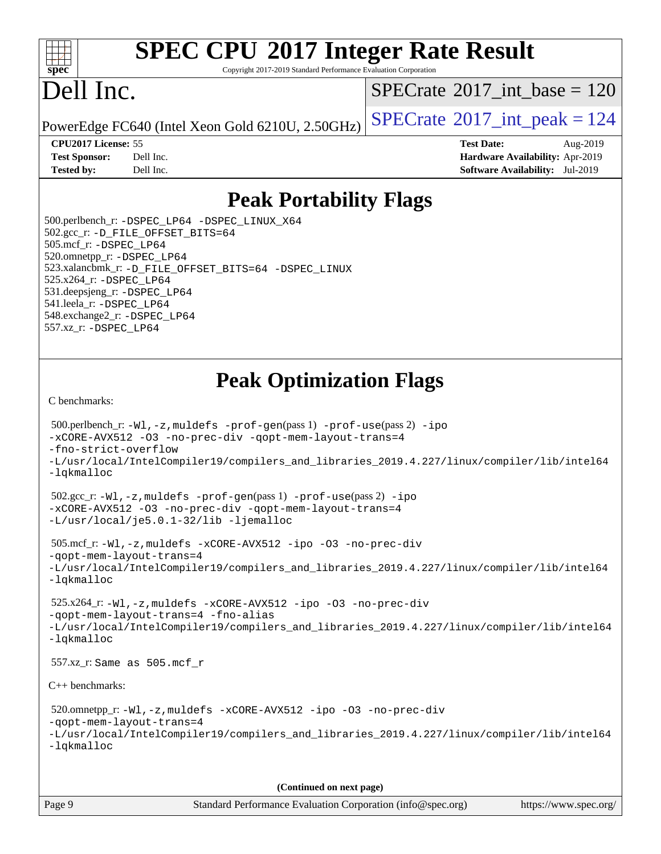

Copyright 2017-2019 Standard Performance Evaluation Corporation

# Dell Inc.

 $SPECTate@2017_int\_base = 120$ 

PowerEdge FC640 (Intel Xeon Gold 6210U, 2.50GHz)  $\left|$  [SPECrate](http://www.spec.org/auto/cpu2017/Docs/result-fields.html#SPECrate2017intpeak)<sup>®</sup>[2017\\_int\\_peak = 1](http://www.spec.org/auto/cpu2017/Docs/result-fields.html#SPECrate2017intpeak)24

**[CPU2017 License:](http://www.spec.org/auto/cpu2017/Docs/result-fields.html#CPU2017License)** 55 **[Test Date:](http://www.spec.org/auto/cpu2017/Docs/result-fields.html#TestDate)** Aug-2019

**[Test Sponsor:](http://www.spec.org/auto/cpu2017/Docs/result-fields.html#TestSponsor)** Dell Inc. **[Hardware Availability:](http://www.spec.org/auto/cpu2017/Docs/result-fields.html#HardwareAvailability)** Apr-2019 **[Tested by:](http://www.spec.org/auto/cpu2017/Docs/result-fields.html#Testedby)** Dell Inc. **[Software Availability:](http://www.spec.org/auto/cpu2017/Docs/result-fields.html#SoftwareAvailability)** Jul-2019

### **[Peak Portability Flags](http://www.spec.org/auto/cpu2017/Docs/result-fields.html#PeakPortabilityFlags)**

 500.perlbench\_r: [-DSPEC\\_LP64](http://www.spec.org/cpu2017/results/res2019q3/cpu2017-20190819-16945.flags.html#b500.perlbench_r_peakPORTABILITY_DSPEC_LP64) [-DSPEC\\_LINUX\\_X64](http://www.spec.org/cpu2017/results/res2019q3/cpu2017-20190819-16945.flags.html#b500.perlbench_r_peakCPORTABILITY_DSPEC_LINUX_X64) 502.gcc\_r: [-D\\_FILE\\_OFFSET\\_BITS=64](http://www.spec.org/cpu2017/results/res2019q3/cpu2017-20190819-16945.flags.html#user_peakPORTABILITY502_gcc_r_file_offset_bits_64_5ae949a99b284ddf4e95728d47cb0843d81b2eb0e18bdfe74bbf0f61d0b064f4bda2f10ea5eb90e1dcab0e84dbc592acfc5018bc955c18609f94ddb8d550002c) 505.mcf\_r: [-DSPEC\\_LP64](http://www.spec.org/cpu2017/results/res2019q3/cpu2017-20190819-16945.flags.html#suite_peakPORTABILITY505_mcf_r_DSPEC_LP64) 520.omnetpp\_r: [-DSPEC\\_LP64](http://www.spec.org/cpu2017/results/res2019q3/cpu2017-20190819-16945.flags.html#suite_peakPORTABILITY520_omnetpp_r_DSPEC_LP64) 523.xalancbmk\_r: [-D\\_FILE\\_OFFSET\\_BITS=64](http://www.spec.org/cpu2017/results/res2019q3/cpu2017-20190819-16945.flags.html#user_peakPORTABILITY523_xalancbmk_r_file_offset_bits_64_5ae949a99b284ddf4e95728d47cb0843d81b2eb0e18bdfe74bbf0f61d0b064f4bda2f10ea5eb90e1dcab0e84dbc592acfc5018bc955c18609f94ddb8d550002c) [-DSPEC\\_LINUX](http://www.spec.org/cpu2017/results/res2019q3/cpu2017-20190819-16945.flags.html#b523.xalancbmk_r_peakCXXPORTABILITY_DSPEC_LINUX) 525.x264\_r: [-DSPEC\\_LP64](http://www.spec.org/cpu2017/results/res2019q3/cpu2017-20190819-16945.flags.html#suite_peakPORTABILITY525_x264_r_DSPEC_LP64) 531.deepsjeng\_r: [-DSPEC\\_LP64](http://www.spec.org/cpu2017/results/res2019q3/cpu2017-20190819-16945.flags.html#suite_peakPORTABILITY531_deepsjeng_r_DSPEC_LP64) 541.leela\_r: [-DSPEC\\_LP64](http://www.spec.org/cpu2017/results/res2019q3/cpu2017-20190819-16945.flags.html#suite_peakPORTABILITY541_leela_r_DSPEC_LP64) 548.exchange2\_r: [-DSPEC\\_LP64](http://www.spec.org/cpu2017/results/res2019q3/cpu2017-20190819-16945.flags.html#suite_peakPORTABILITY548_exchange2_r_DSPEC_LP64) 557.xz\_r: [-DSPEC\\_LP64](http://www.spec.org/cpu2017/results/res2019q3/cpu2017-20190819-16945.flags.html#suite_peakPORTABILITY557_xz_r_DSPEC_LP64)

### **[Peak Optimization Flags](http://www.spec.org/auto/cpu2017/Docs/result-fields.html#PeakOptimizationFlags)**

[C benchmarks](http://www.spec.org/auto/cpu2017/Docs/result-fields.html#Cbenchmarks):

```
 500.perlbench_r: -Wl,-z,muldefs -prof-gen(pass 1) -prof-use(pass 2) -ipo
-xCORE-AVX512 -O3 -no-prec-div -qopt-mem-layout-trans=4
-fno-strict-overflow
-L/usr/local/IntelCompiler19/compilers_and_libraries_2019.4.227/linux/compiler/lib/intel64
-lqkmalloc
 502.gcc_r: -Wl,-z,muldefs -prof-gen(pass 1) -prof-use(pass 2) -ipo
-xCORE-AVX512 -O3 -no-prec-div -qopt-mem-layout-trans=4
-L/usr/local/je5.0.1-32/lib -ljemalloc
 505.mcf_r: -Wl,-z,muldefs -xCORE-AVX512 -ipo -O3 -no-prec-div
-qopt-mem-layout-trans=4
-L/usr/local/IntelCompiler19/compilers_and_libraries_2019.4.227/linux/compiler/lib/intel64
-lqkmalloc
 525.x264_r: -Wl,-z,muldefs -xCORE-AVX512 -ipo -O3 -no-prec-div
-qopt-mem-layout-trans=4 -fno-alias
-L/usr/local/IntelCompiler19/compilers_and_libraries_2019.4.227/linux/compiler/lib/intel64
-lqkmalloc
 557.xz_r: Same as 505.mcf_r
C++ benchmarks: 
 520.omnetpp_r: -Wl,-z,muldefs -xCORE-AVX512 -ipo -O3 -no-prec-div
-qopt-mem-layout-trans=4
-L/usr/local/IntelCompiler19/compilers_and_libraries_2019.4.227/linux/compiler/lib/intel64
-lqkmalloc
                                      (Continued on next page)
```

| Page 9<br>Standard Performance Evaluation Corporation (info@spec.org) |  | https://www.spec.org/ |
|-----------------------------------------------------------------------|--|-----------------------|
|-----------------------------------------------------------------------|--|-----------------------|